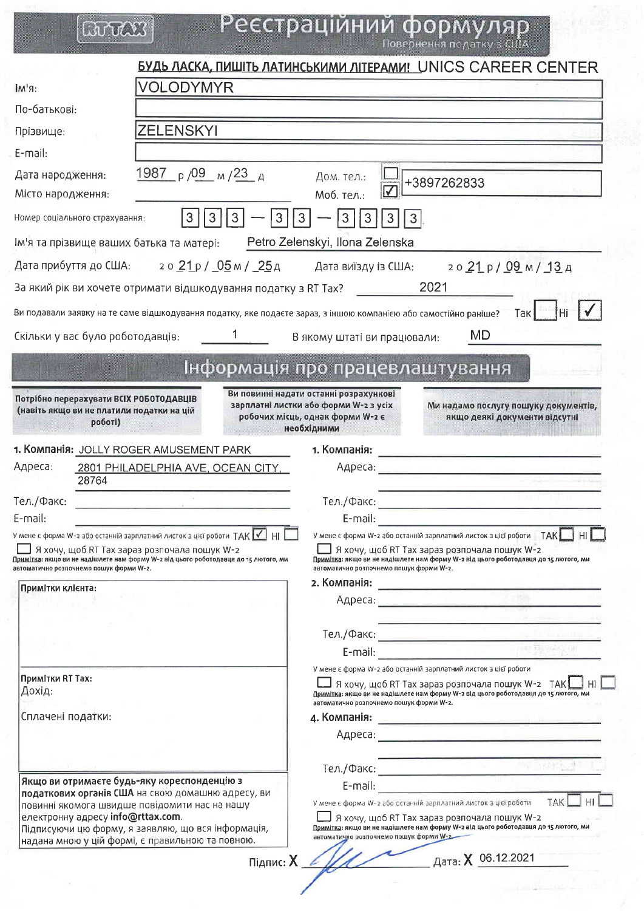# **BUTCKS**

Реєстраційний формуляр

|                                                                                                                                                                                                              |                                                                 |                      |                                                                                                                                    | БУДЬ ЛАСКА, ПИШІТЬ ЛАТИНСЬКИМИ ЛІТЕРАМИ! UNICS CAREER CENTER                                                                                                                                                            |
|--------------------------------------------------------------------------------------------------------------------------------------------------------------------------------------------------------------|-----------------------------------------------------------------|----------------------|------------------------------------------------------------------------------------------------------------------------------------|-------------------------------------------------------------------------------------------------------------------------------------------------------------------------------------------------------------------------|
| $IM'S$ :                                                                                                                                                                                                     | VOLODYMYR                                                       |                      |                                                                                                                                    |                                                                                                                                                                                                                         |
| По-батькові:                                                                                                                                                                                                 |                                                                 |                      |                                                                                                                                    |                                                                                                                                                                                                                         |
| Прізвище:                                                                                                                                                                                                    | <b>ZELENSKYI</b>                                                |                      |                                                                                                                                    |                                                                                                                                                                                                                         |
| E-mail:                                                                                                                                                                                                      |                                                                 |                      |                                                                                                                                    |                                                                                                                                                                                                                         |
| Дата народження:                                                                                                                                                                                             | 1987 $p/09$ $M/23$ A                                            |                      | Дом. тел.:                                                                                                                         | +3897262833                                                                                                                                                                                                             |
| Місто народження:                                                                                                                                                                                            |                                                                 |                      | $\overline{\mathsf{v}}$<br>Моб. тел.:                                                                                              |                                                                                                                                                                                                                         |
| Номер соціального страхування:                                                                                                                                                                               | $\mathbf{3}$<br>3<br>3                                          | 3<br>3               | 3<br><u>3</u><br>3<br>3                                                                                                            |                                                                                                                                                                                                                         |
| Ім'я та прізвище ваших батька та матері:                                                                                                                                                                     |                                                                 |                      | Petro Zelenskyi, Ilona Zelenska                                                                                                    |                                                                                                                                                                                                                         |
| Дата прибуття до США: го 21 р / 05 м / 25 д Дата виїзду із США:                                                                                                                                              |                                                                 |                      |                                                                                                                                    | 2021p/09M/13A                                                                                                                                                                                                           |
| За який рік ви хочете отримати відшкодування податку з RT Tax?                                                                                                                                               |                                                                 |                      |                                                                                                                                    | 2021                                                                                                                                                                                                                    |
| Ви подавали заявку на те саме відшкодування податку, яке подаєте зараз, з іншою компанією або самостійно раніше?                                                                                             |                                                                 |                      |                                                                                                                                    | Так                                                                                                                                                                                                                     |
| Скільки у вас було роботодавців:                                                                                                                                                                             | $\sim$ 1                                                        |                      | В якому штаті ви працювали:                                                                                                        | <b>MD</b>                                                                                                                                                                                                               |
|                                                                                                                                                                                                              |                                                                 |                      |                                                                                                                                    |                                                                                                                                                                                                                         |
|                                                                                                                                                                                                              |                                                                 |                      | Інформація про працевлаштування                                                                                                    |                                                                                                                                                                                                                         |
| Потрібно перерахувати ВСІХ РОБОТОДАВЦІВ<br>(навіть якщо ви не платили податки на цій<br>роботі)                                                                                                              |                                                                 |                      | Ви повинні надати останні розрахункові<br>зарплатні листки або форми W-2 з усіх<br>робочих місць, однак форми W-2 є<br>необхідними | Ми надамо послугу пошуку документів,<br>якщо деякі документи відсутні                                                                                                                                                   |
| 1. Компанія: JOLLY ROGER AMUSEMENT PARK                                                                                                                                                                      |                                                                 |                      | 1. Компанія:                                                                                                                       | <u> De la componenta de la componenta de la componenta de la componenta de la componenta de la componenta de la c</u>                                                                                                   |
| Адреса:<br>28764                                                                                                                                                                                             | <b>2801 PHILADELPHIA AVE, OCEAN CITY,</b>                       |                      |                                                                                                                                    |                                                                                                                                                                                                                         |
| Тел./Факс:                                                                                                                                                                                                   | the contract of the contract of the contract of the contract of |                      |                                                                                                                                    |                                                                                                                                                                                                                         |
| E-mail:                                                                                                                                                                                                      |                                                                 |                      | E-mail:                                                                                                                            |                                                                                                                                                                                                                         |
| У мене є форма W-2 або останній зарплатний листок з цієї роботи ТАК V   НІ<br>Примітка: якщо ви не надішлете нам форму W-2 від цього роботодавця до 15 лютого, ми<br>автоматично розпочнемо пошук форми W-2. | Я хочу, щоб RT Тах зараз розпочала пошук W-2                    |                      | автоматично розпочнемо пошук форми W-2.                                                                                            | У мене є форма W-2 або останній зарплатний листок з цієї роботи ПАК<br>HI<br>$\Box$ Я хочу, щоб RT Тах зараз розпочала пошук W-2<br>Примітка: якщо ви не надішлете нам форму W-2 від цього роботодавця до 15 лютого, ми |
| Примітки клієнта:                                                                                                                                                                                            |                                                                 |                      |                                                                                                                                    |                                                                                                                                                                                                                         |
|                                                                                                                                                                                                              |                                                                 |                      |                                                                                                                                    |                                                                                                                                                                                                                         |
|                                                                                                                                                                                                              |                                                                 |                      |                                                                                                                                    | the contract of the party of the contract of                                                                                                                                                                            |
|                                                                                                                                                                                                              |                                                                 |                      |                                                                                                                                    | E-mail: $\frac{1}{2}$                                                                                                                                                                                                   |
|                                                                                                                                                                                                              |                                                                 |                      |                                                                                                                                    | У мене є форма W-2 або останній зарплатний листок з цієї роботи                                                                                                                                                         |
| Примітки RT Тах:<br>Дохід:                                                                                                                                                                                   |                                                                 |                      |                                                                                                                                    | $\Box$ Я хочу, щоб RT Тах зараз розпочала пошук W-2 $\,$ ТАК $\Box$ HI $\parallel$<br>Примітка: якщо ви не надішлете нам форму W-2 від цього роботодавця до 15 лютого, ми                                               |
| Сплачені податки:                                                                                                                                                                                            |                                                                 |                      | автоматично розпочнемо пошук форми W-2.                                                                                            |                                                                                                                                                                                                                         |
|                                                                                                                                                                                                              |                                                                 |                      |                                                                                                                                    | Адреса: <u>произвести с произвести с при странении при странении при странении при странении при странении при с</u>                                                                                                    |
|                                                                                                                                                                                                              |                                                                 |                      |                                                                                                                                    |                                                                                                                                                                                                                         |
| Якщо ви отримаєте будь-яку кореспонденцію з                                                                                                                                                                  |                                                                 |                      |                                                                                                                                    |                                                                                                                                                                                                                         |
|                                                                                                                                                                                                              | податкових органів США на свою домашню адресу, ви               |                      |                                                                                                                                    | TAK                                                                                                                                                                                                                     |
| електронну адресу info@rttax.com.                                                                                                                                                                            | повинні якомога швидше повідомити нас на нашу                   |                      |                                                                                                                                    | У мене є форма W-2 або останній зарплатний листок з цієї роботи<br>Я хочу, щоб RT Тах зараз розпочала пошук W-2                                                                                                         |
|                                                                                                                                                                                                              | Підписуючи цю форму, я заявляю, що вся інформація,              |                      | автоматично розпочнемо пошук форми W-2                                                                                             | Примітка: якщо ви не надішлете нам форму W-2 від цього роботодавця до 15 лютого, ми                                                                                                                                     |
|                                                                                                                                                                                                              | надана мною у цій формі, є правильною та повною.                |                      |                                                                                                                                    |                                                                                                                                                                                                                         |
|                                                                                                                                                                                                              |                                                                 | $Pi$ $I$ $I$ $I$ $I$ |                                                                                                                                    | Дата: X 06.12.2021                                                                                                                                                                                                      |
|                                                                                                                                                                                                              |                                                                 |                      |                                                                                                                                    |                                                                                                                                                                                                                         |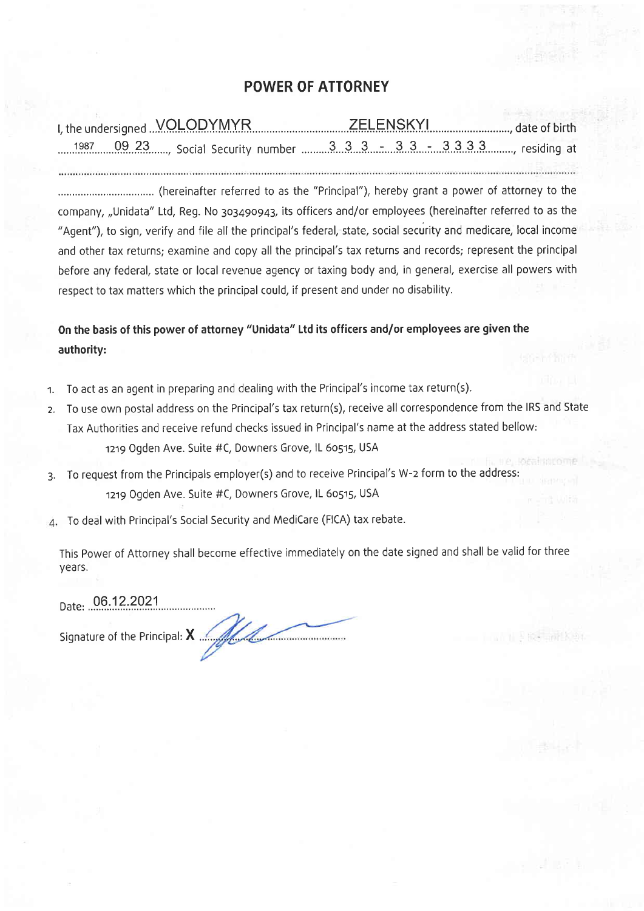## POWER OF ATTORNEY

| 1987 09 23 Social Security number 3 3 3 3 - 3 3 - 3 3 3 3 3  residing at |  |  |  |
|--------------------------------------------------------------------------|--|--|--|
|                                                                          |  |  |  |

(hereinafter referred to as the "Principal"), hereby grant a power of attorney to the company, ,,Unidata" Ltd, Reg. No 3o3a9o943, its officers and/or employees (hereinafter referred to as the "Agent"), to sign, verify and file all the principal's federal, state, social security and medicare, local income and other tax returns; examine and copy all the principal's tax returns and records; represent the principal before any federal, state or local revenue agency or taxing body and, in general, exercise all powers with respect to tax matters which the principal could, if present and under no disability.

On the basis of this power of attorney "Unidata" Ltd its officers and/or employees are given the authority:

- 1. To act as an agent in preparing and dealing with the Principal's income tax return(s).
- 2. To use own postal address on the Principal's tax return(s), receive all correspondence from the IRS and State Tax Authorities and receive refund checks issued in Principal's name at the address stated bellow: 1219 Ogden Ave. Suite #C, Downers Grove, IL 60515, USA
- 3. To request from the Principals employer(s) and to receive Principal's W-z form to the address: 1219 Ogden Ave. Suite #C, Downers Grove, IL 60515, USA
- To deal with Principal's Social Security and MediCare (FICA) tax rebate.

This Power of Attorney shall become effective immediately on the date signed and shall be valid for three years.

 $\frac{1}{2}$  is  $\frac{1}{2}$  in  $\frac{1}{2}$ 

Date: 06.12.2021

Signature of the Principal: X Manuson Signature of the Principal: X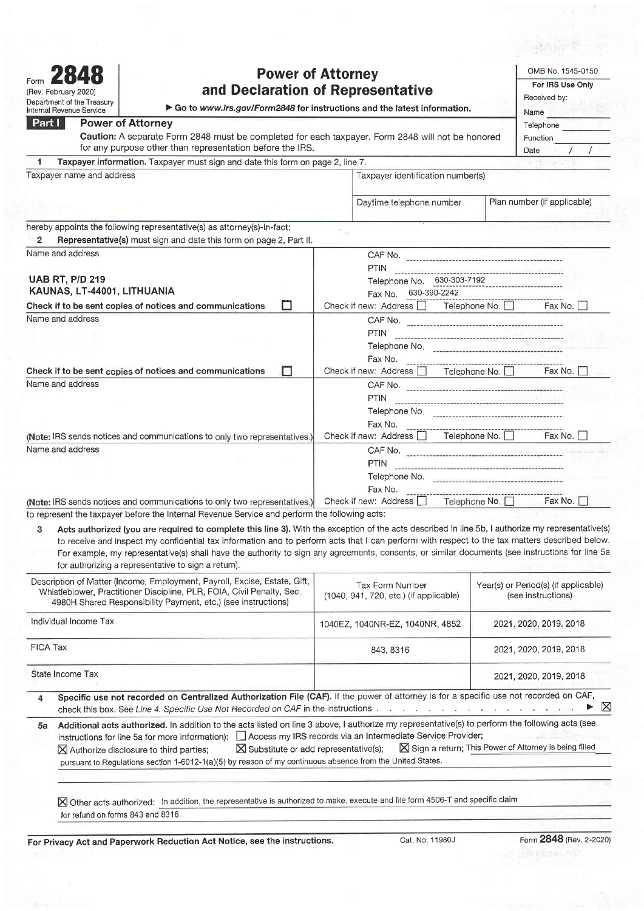|                                                    | <b>Power of Attorney</b>                                                                                                                                                                                             |                                                           |                 | OMB No. 1545-0150                                                                                                                                                                                                             |
|----------------------------------------------------|----------------------------------------------------------------------------------------------------------------------------------------------------------------------------------------------------------------------|-----------------------------------------------------------|-----------------|-------------------------------------------------------------------------------------------------------------------------------------------------------------------------------------------------------------------------------|
|                                                    |                                                                                                                                                                                                                      |                                                           |                 | For IRS Use Only                                                                                                                                                                                                              |
| (Rev. February 2020)<br>Department of the Treasury | and Declaration of Representative                                                                                                                                                                                    | Received by:                                              |                 |                                                                                                                                                                                                                               |
| <b>Internal Revenue Service</b>                    | Go to www.irs.gov/Form2848 for instructions and the latest information.                                                                                                                                              |                                                           |                 | Name and the set of the set of the set of the set of the set of the set of the set of the set of the set of the set of the set of the set of the set of the set of the set of the set of the set of the set of the set of the |
| Part I                                             | <b>Power of Attorney</b>                                                                                                                                                                                             |                                                           |                 | <b>Telephone</b>                                                                                                                                                                                                              |
|                                                    | Caution: A separate Form 2848 must be completed for each taxpayer. Form 2848 will not be honored                                                                                                                     |                                                           |                 | Function                                                                                                                                                                                                                      |
|                                                    | for any purpose other than representation before the IRS.                                                                                                                                                            |                                                           |                 | Date                                                                                                                                                                                                                          |
| 1                                                  | Taxpayer information. Taxpayer must sign and date this form on page 2, line 7.                                                                                                                                       |                                                           |                 |                                                                                                                                                                                                                               |
| Taxpayer name and address                          |                                                                                                                                                                                                                      | Taxpayer identification number(s)                         |                 |                                                                                                                                                                                                                               |
|                                                    |                                                                                                                                                                                                                      |                                                           |                 |                                                                                                                                                                                                                               |
|                                                    |                                                                                                                                                                                                                      | Daytime telephone number                                  |                 | Plan number (if applicable)                                                                                                                                                                                                   |
|                                                    | hereby appoints the following representative(s) as attorney(s)-in-fact:                                                                                                                                              |                                                           |                 |                                                                                                                                                                                                                               |
| $\mathbf{2}$                                       | Representative(s) must sign and date this form on page 2, Part II.                                                                                                                                                   |                                                           |                 |                                                                                                                                                                                                                               |
| Name and address                                   |                                                                                                                                                                                                                      |                                                           |                 |                                                                                                                                                                                                                               |
|                                                    |                                                                                                                                                                                                                      | <b>PTIN</b>                                               |                 |                                                                                                                                                                                                                               |
| <b>UAB RT, P/D 219</b>                             |                                                                                                                                                                                                                      | Telephone No. 630-303-7192                                |                 |                                                                                                                                                                                                                               |
| KAUNAS, LT-44001, LITHUANIA                        |                                                                                                                                                                                                                      | Fax No. 630-390-2242                                      |                 |                                                                                                                                                                                                                               |
|                                                    | П<br>Check if to be sent copies of notices and communications                                                                                                                                                        | Check if new: Address $\Box$ Telephone No. $\Box$         |                 | Fax No. I                                                                                                                                                                                                                     |
| Name and address                                   |                                                                                                                                                                                                                      |                                                           |                 |                                                                                                                                                                                                                               |
|                                                    |                                                                                                                                                                                                                      | PTIN                                                      |                 |                                                                                                                                                                                                                               |
|                                                    |                                                                                                                                                                                                                      |                                                           |                 |                                                                                                                                                                                                                               |
|                                                    |                                                                                                                                                                                                                      |                                                           |                 |                                                                                                                                                                                                                               |
|                                                    | п<br>Check if to be sent copies of notices and communications                                                                                                                                                        | Check if new: Address Telephone No. Fax No.               |                 |                                                                                                                                                                                                                               |
| Name and address                                   |                                                                                                                                                                                                                      |                                                           |                 |                                                                                                                                                                                                                               |
|                                                    |                                                                                                                                                                                                                      | PTIN                                                      |                 |                                                                                                                                                                                                                               |
|                                                    |                                                                                                                                                                                                                      |                                                           |                 |                                                                                                                                                                                                                               |
|                                                    | (Note: IRS sends notices and communications to only two representatives.)                                                                                                                                            | Fax No.<br>Check if new: Address   Telephone No.          |                 | Fax No. I                                                                                                                                                                                                                     |
| Name and address                                   |                                                                                                                                                                                                                      |                                                           |                 |                                                                                                                                                                                                                               |
|                                                    |                                                                                                                                                                                                                      | <b>PTIN</b>                                               |                 |                                                                                                                                                                                                                               |
|                                                    |                                                                                                                                                                                                                      |                                                           |                 |                                                                                                                                                                                                                               |
|                                                    |                                                                                                                                                                                                                      | Fax No.                                                   |                 |                                                                                                                                                                                                                               |
|                                                    | (Note: IRS sends notices and communications to only two representatives.) Check if new: Address                                                                                                                      |                                                           | Telephone No. □ | Fax No. I                                                                                                                                                                                                                     |
|                                                    | to represent the taxpayer before the Internal Revenue Service and perform the following acts:                                                                                                                        |                                                           |                 |                                                                                                                                                                                                                               |
| 3                                                  | Acts authorized (you are required to complete this line 3). With the exception of the acts described in line 5b, I authorize my representative(s)                                                                    |                                                           |                 |                                                                                                                                                                                                                               |
|                                                    | to receive and inspect my confidential tax information and to perform acts that I can perform with respect to the tax matters described below.                                                                       |                                                           |                 |                                                                                                                                                                                                                               |
|                                                    | For example, my representative(s) shall have the authority to sign any agreements, consents, or similar documents (see instructions for line 5a                                                                      |                                                           |                 |                                                                                                                                                                                                                               |
|                                                    | for authorizing a representative to sign a return).                                                                                                                                                                  |                                                           |                 |                                                                                                                                                                                                                               |
|                                                    | Description of Matter (Income, Employment, Payroll, Excise, Estate, Gift,<br>Whistleblower, Practitioner Discipline, PLR, FOIA, Civil Penalty, Sec.<br>4980H Shared Responsibility Payment, etc.) (see instructions) | Tax Form Number<br>(1040, 941, 720, etc.) (if applicable) |                 | Year(s) or Period(s) (if applicable)<br>(see instructions)                                                                                                                                                                    |
| Individual Income Tax                              |                                                                                                                                                                                                                      | 1040EZ, 1040NR-EZ, 1040NR, 4852                           |                 | 2021, 2020, 2019, 2018                                                                                                                                                                                                        |
| <b>FICA Tax</b>                                    |                                                                                                                                                                                                                      | 843, 8316                                                 |                 | 2021, 2020, 2019, 2018                                                                                                                                                                                                        |

State Income Tax 2021, 2020, 2019, 2018

Specific use not recorded on Centralized Authorization File (CAF). If the power of attorney is for a specific use not recorded on CAF,  $\overline{4}$ check this box. See Line 4. Specific Use Not Recorded on CAF in the instructions  $\ldots$   $\ldots$   $\ldots$   $\ldots$   $\ldots$ 

## 5a Additional acts authorized. In addition to the acts listed on line 3 above, I authorize my representative(s) to perform the following acts (see instructions for line 5a for more information):  $\square$  Access my IRS records via an Intermediate Service Provider;<br> $\square$  Authorize disclosure to third parties;  $\square$  Substitute or add representative(s);  $\square$  Sign a return; Th X Authorize disclosure to third parties; X Substitute or add representative(s); X Sign a return; This Power of Attorney is being filled pursuant to Regulations section 1-6012-1(a)(5) by reason of my continuous absence from the United States.

 $\boxtimes$  Other acts authorized: In addition, the representative is authorized to make, execute and file form 4506-T and specific claim for refund on forms 843 and 8316.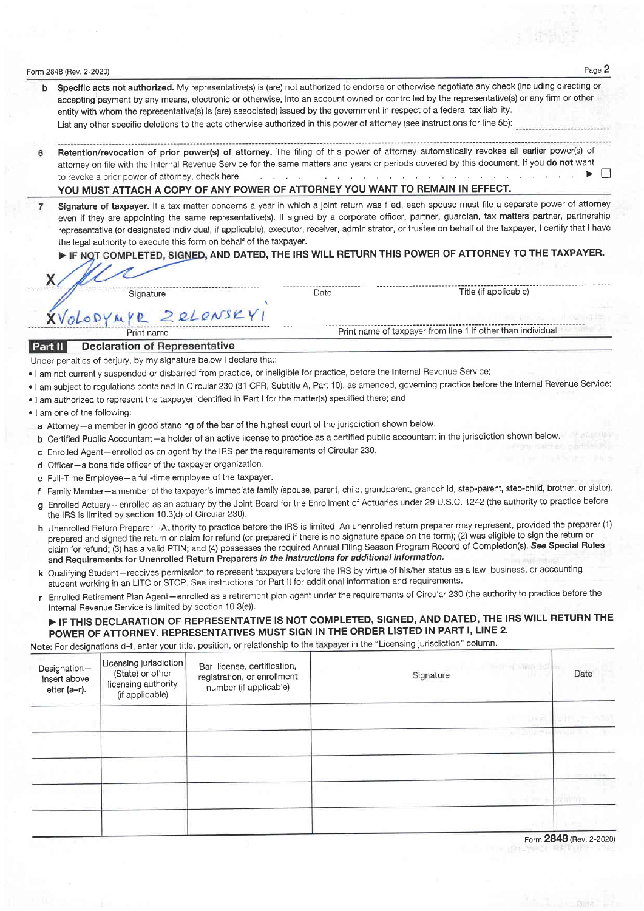|   | Form 2848 (Rev. 2-2020)      |                                                              |                                                                                                               |      |                                                                                                                                                                                                                                                                                                                                                                                                                                                                                                                                                                                                        | Page 2 |
|---|------------------------------|--------------------------------------------------------------|---------------------------------------------------------------------------------------------------------------|------|--------------------------------------------------------------------------------------------------------------------------------------------------------------------------------------------------------------------------------------------------------------------------------------------------------------------------------------------------------------------------------------------------------------------------------------------------------------------------------------------------------------------------------------------------------------------------------------------------------|--------|
|   |                              |                                                              |                                                                                                               |      | Specific acts not authorized. My representative(s) is (are) not authorized to endorse or otherwise negotiate any check (including directing or<br>accepting payment by any means, electronic or otherwise, into an account owned or controlled by the representative(s) or any firm or other<br>entity with whom the representative(s) is (are) associated) issued by the government in respect of a federal tax liability.<br>List any other specific deletions to the acts otherwise authorized in this power of attorney (see instructions for line 5b):                                            |        |
| 6 |                              |                                                              |                                                                                                               |      | Retention/revocation of prior power(s) of attorney. The filing of this power of attorney automatically revokes all earlier power(s) of<br>attorney on file with the Internal Revenue Service for the same matters and years or periods covered by this document. If you do not want<br>to revoke a prior power of attorney, check here with a state of the content of the content of the content of the content of the content of the content of the content of the content of the content of the content of the cont<br>YOU MUST ATTACH A COPY OF ANY POWER OF ATTORNEY YOU WANT TO REMAIN IN EFFECT. |        |
| 7 |                              |                                                              | the legal authority to execute this form on behalf of the taxpayer.                                           |      | Signature of taxpayer. If a tax matter concerns a year in which a joint return was filed, each spouse must file a separate power of attorney<br>even if they are appointing the same representative(s). If signed by a corporate officer, partner, guardian, tax matters partner, partnership<br>representative (or designated individual, if applicable), executor, receiver, administrator, or trustee on behalf of the taxpayer, I certify that I have<br>FIF NOT COMPLETED, SIGNED, AND DATED, THE IRS WILL RETURN THIS POWER OF ATTORNEY TO THE TAXPAYER.                                         |        |
|   | X.                           |                                                              |                                                                                                               |      |                                                                                                                                                                                                                                                                                                                                                                                                                                                                                                                                                                                                        |        |
|   |                              | Signature                                                    |                                                                                                               | Date | Title (if applicable)                                                                                                                                                                                                                                                                                                                                                                                                                                                                                                                                                                                  |        |
|   |                              | XVOLODYMYR ZeLONSKYI                                         |                                                                                                               |      |                                                                                                                                                                                                                                                                                                                                                                                                                                                                                                                                                                                                        |        |
|   |                              | Print name                                                   |                                                                                                               |      | Print name of taxpayer from line 1 if other than individual                                                                                                                                                                                                                                                                                                                                                                                                                                                                                                                                            |        |
|   | Part II                      | <b>Declaration of Representative</b>                         |                                                                                                               |      |                                                                                                                                                                                                                                                                                                                                                                                                                                                                                                                                                                                                        |        |
|   |                              |                                                              | Under penalties of perjury, by my signature below I declare that:                                             |      |                                                                                                                                                                                                                                                                                                                                                                                                                                                                                                                                                                                                        |        |
|   |                              |                                                              |                                                                                                               |      | . I am not currently suspended or disbarred from practice, or ineligible for practice, before the Internal Revenue Service;                                                                                                                                                                                                                                                                                                                                                                                                                                                                            |        |
|   |                              |                                                              |                                                                                                               |      | . I am subject to regulations contained in Circular 230 (31 CFR, Subtitle A, Part 10), as amended, governing practice before the Internal Revenue Service;                                                                                                                                                                                                                                                                                                                                                                                                                                             |        |
|   |                              |                                                              | . I am authorized to represent the taxpayer identified in Part I for the matter(s) specified there; and       |      |                                                                                                                                                                                                                                                                                                                                                                                                                                                                                                                                                                                                        |        |
|   | . I am one of the following: |                                                              |                                                                                                               |      |                                                                                                                                                                                                                                                                                                                                                                                                                                                                                                                                                                                                        |        |
|   |                              |                                                              | a Attorney-a member in good standing of the bar of the highest court of the jurisdiction shown below.         |      |                                                                                                                                                                                                                                                                                                                                                                                                                                                                                                                                                                                                        |        |
|   |                              |                                                              |                                                                                                               |      | <b>b</b> Certified Public Accountant - a holder of an active license to practice as a certified public accountant in the jurisdiction shown below.                                                                                                                                                                                                                                                                                                                                                                                                                                                     |        |
|   |                              |                                                              | c Enrolled Agent-enrolled as an agent by the IRS per the requirements of Circular 230.                        |      |                                                                                                                                                                                                                                                                                                                                                                                                                                                                                                                                                                                                        |        |
|   |                              | d Officer-a bona fide officer of the taxpayer organization.  |                                                                                                               |      |                                                                                                                                                                                                                                                                                                                                                                                                                                                                                                                                                                                                        |        |
|   |                              | e Full-Time Employee - a full-time employee of the taxpayer. |                                                                                                               |      |                                                                                                                                                                                                                                                                                                                                                                                                                                                                                                                                                                                                        |        |
|   |                              |                                                              |                                                                                                               |      | f Family Member-a member of the taxpayer's immediate family (spouse, parent, child, grandparent, grandchild, step-parent, step-child, brother, or sister).                                                                                                                                                                                                                                                                                                                                                                                                                                             |        |
|   |                              | the IRS is limited by section 10.3(d) of Circular 230).      |                                                                                                               |      | g Enrolled Actuary-enrolled as an actuary by the Joint Board for the Enrollment of Actuaries under 29 U.S.C. 1242 (the authority to practice before                                                                                                                                                                                                                                                                                                                                                                                                                                                    |        |
|   |                              |                                                              | and Requirements for Unenrolled Return Preparers in the instructions for additional information.              |      | h Unenrolled Return Preparer-Authority to practice before the IRS is limited. An unenrolled return preparer may represent, provided the preparer (1)<br>prepared and signed the return or claim for refund (or prepared if there is no signature space on the form); (2) was eligible to sign the return or<br>claim for refund; (3) has a valid PTIN; and (4) possesses the required Annual Filing Season Program Record of Completion(s). See Special Rules                                                                                                                                          |        |
|   |                              |                                                              | student working in an LITC or STCP. See instructions for Part II for additional information and requirements. |      | k Qualifying Student-receives permission to represent taxpayers before the IRS by virtue of his/her status as a law, business, or accounting                                                                                                                                                                                                                                                                                                                                                                                                                                                           |        |
|   |                              | Internal Revenue Service is limited by section 10.3(e)).     |                                                                                                               |      | r Enrolled Retirement Plan Agent-enrolled as a retirement plan agent under the requirements of Circular 230 (the authority to practice before the                                                                                                                                                                                                                                                                                                                                                                                                                                                      |        |
|   |                              |                                                              |                                                                                                               |      | FIF THIS DECLARATION OF REPRESENTATIVE IS NOT COMPLETED, SIGNED, AND DATED, THE IRS WILL RETURN THE                                                                                                                                                                                                                                                                                                                                                                                                                                                                                                    |        |
|   |                              |                                                              |                                                                                                               |      | POWER OF ATTORNEY. REPRESENTATIVES MUST SIGN IN THE ORDER LISTED IN PART I, LINE 2.                                                                                                                                                                                                                                                                                                                                                                                                                                                                                                                    |        |
|   |                              |                                                              |                                                                                                               |      | Note: For designations d-f, enter your title, position, or relationship to the taxpayer in the "Licensing jurisdiction" column.                                                                                                                                                                                                                                                                                                                                                                                                                                                                        |        |
|   | Designation-<br>Insert above | Licensing jurisdiction<br>(State) or other                   | Bar, license, certification,<br>registration, or enrollment                                                   |      | <b>NUMBER</b><br>Date<br>Signature                                                                                                                                                                                                                                                                                                                                                                                                                                                                                                                                                                     |        |

| Designation-<br>Insert above<br>letter (a-r). | Linding Januaran i<br>(State) or other<br>licensing authority<br>(if applicable) | Bar, license, certification,<br>registration, or enrollment<br>number (if applicable) | THE RESPONSE ROLL<br>Signature | Date             |
|-----------------------------------------------|----------------------------------------------------------------------------------|---------------------------------------------------------------------------------------|--------------------------------|------------------|
|                                               |                                                                                  |                                                                                       | 201.81.                        |                  |
|                                               |                                                                                  |                                                                                       | <b>TOP CANDRAL PEGINE</b>      |                  |
|                                               |                                                                                  |                                                                                       |                                | <b>RESIDENCE</b> |
|                                               |                                                                                  |                                                                                       |                                |                  |
|                                               |                                                                                  |                                                                                       |                                |                  |
|                                               |                                                                                  |                                                                                       | $-$                            | $0040 - 0.000$   |

Form **2848** (Rev. 2-2020)

ţ.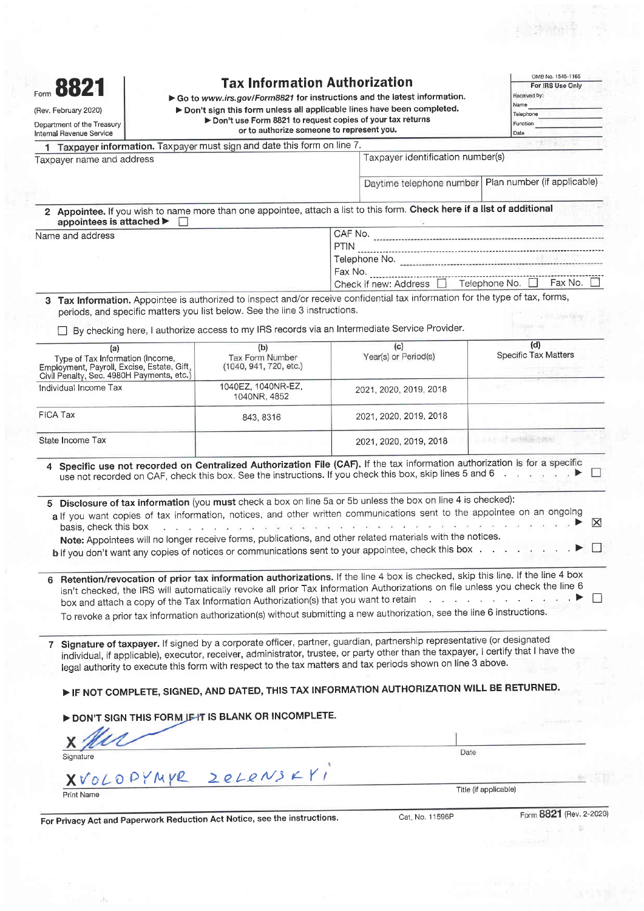| Form 8821<br>(Rev. February 2020)<br>Department of the Treasury                                                                                                                                                                                                      | <b>Tax Information Authorization</b><br>Go to www.irs.gov/Form8821 for instructions and the latest information.<br>> Don't sign this form unless all applicable lines have been completed.<br>Don't use Form 8821 to request copies of your tax returns<br>or to authorize someone to represent you. |             |                                                                                                                                                                                                                                                                                                                                                                                                                                                                                                                                                                                                                                                                                                      | OMB No. 1545-1165<br>For IRS Use Only<br>Received by:<br>Name<br>Telephone<br>Function                                                                                                                                                                                                                                                                                                                                                |             |
|----------------------------------------------------------------------------------------------------------------------------------------------------------------------------------------------------------------------------------------------------------------------|------------------------------------------------------------------------------------------------------------------------------------------------------------------------------------------------------------------------------------------------------------------------------------------------------|-------------|------------------------------------------------------------------------------------------------------------------------------------------------------------------------------------------------------------------------------------------------------------------------------------------------------------------------------------------------------------------------------------------------------------------------------------------------------------------------------------------------------------------------------------------------------------------------------------------------------------------------------------------------------------------------------------------------------|---------------------------------------------------------------------------------------------------------------------------------------------------------------------------------------------------------------------------------------------------------------------------------------------------------------------------------------------------------------------------------------------------------------------------------------|-------------|
| Internal Revenue Service<br>Taxpayer information. Taxpayer must sign and date this form on line 7.                                                                                                                                                                   |                                                                                                                                                                                                                                                                                                      |             |                                                                                                                                                                                                                                                                                                                                                                                                                                                                                                                                                                                                                                                                                                      | Date                                                                                                                                                                                                                                                                                                                                                                                                                                  |             |
| Taxpayer name and address                                                                                                                                                                                                                                            |                                                                                                                                                                                                                                                                                                      |             | Taxpayer identification number(s)                                                                                                                                                                                                                                                                                                                                                                                                                                                                                                                                                                                                                                                                    |                                                                                                                                                                                                                                                                                                                                                                                                                                       |             |
|                                                                                                                                                                                                                                                                      |                                                                                                                                                                                                                                                                                                      |             | Daytime telephone number                                                                                                                                                                                                                                                                                                                                                                                                                                                                                                                                                                                                                                                                             | Plan number (if applicable)                                                                                                                                                                                                                                                                                                                                                                                                           |             |
| 2 Appointee. If you wish to name more than one appointee, attach a list to this form. Check here if a list of additional<br>appointees is attached ▶                                                                                                                 |                                                                                                                                                                                                                                                                                                      |             |                                                                                                                                                                                                                                                                                                                                                                                                                                                                                                                                                                                                                                                                                                      |                                                                                                                                                                                                                                                                                                                                                                                                                                       |             |
| Name and address                                                                                                                                                                                                                                                     |                                                                                                                                                                                                                                                                                                      |             |                                                                                                                                                                                                                                                                                                                                                                                                                                                                                                                                                                                                                                                                                                      |                                                                                                                                                                                                                                                                                                                                                                                                                                       |             |
|                                                                                                                                                                                                                                                                      |                                                                                                                                                                                                                                                                                                      | <b>PTIN</b> |                                                                                                                                                                                                                                                                                                                                                                                                                                                                                                                                                                                                                                                                                                      |                                                                                                                                                                                                                                                                                                                                                                                                                                       |             |
|                                                                                                                                                                                                                                                                      |                                                                                                                                                                                                                                                                                                      |             |                                                                                                                                                                                                                                                                                                                                                                                                                                                                                                                                                                                                                                                                                                      |                                                                                                                                                                                                                                                                                                                                                                                                                                       |             |
|                                                                                                                                                                                                                                                                      |                                                                                                                                                                                                                                                                                                      |             | Check if new: Address   Telephone No.                                                                                                                                                                                                                                                                                                                                                                                                                                                                                                                                                                                                                                                                | Fax No.                                                                                                                                                                                                                                                                                                                                                                                                                               |             |
| 3 Tax Information. Appointee is authorized to inspect and/or receive confidential tax information for the type of tax, forms,                                                                                                                                        | periods, and specific matters you list below. See the line 3 instructions.                                                                                                                                                                                                                           |             |                                                                                                                                                                                                                                                                                                                                                                                                                                                                                                                                                                                                                                                                                                      | <b>CONTRACT</b>                                                                                                                                                                                                                                                                                                                                                                                                                       |             |
|                                                                                                                                                                                                                                                                      | By checking here, I authorize access to my IRS records via an Intermediate Service Provider.                                                                                                                                                                                                         |             |                                                                                                                                                                                                                                                                                                                                                                                                                                                                                                                                                                                                                                                                                                      |                                                                                                                                                                                                                                                                                                                                                                                                                                       |             |
| (a)<br>Type of Tax Information (Income,<br>Employment, Payroll, Excise, Estate, Gift,<br>Civil Penalty, Sec. 4980H Payments, etc.)                                                                                                                                   | (b)<br>Tax Form Number<br>(1040, 941, 720, etc.)                                                                                                                                                                                                                                                     |             | (c)<br>Year(s) or Period(s)                                                                                                                                                                                                                                                                                                                                                                                                                                                                                                                                                                                                                                                                          | (d)<br><b>Specific Tax Matters</b>                                                                                                                                                                                                                                                                                                                                                                                                    |             |
| Individual Income Tax                                                                                                                                                                                                                                                | 1040EZ, 1040NR-EZ,<br>1040NR, 4852                                                                                                                                                                                                                                                                   |             | 2021, 2020, 2019, 2018                                                                                                                                                                                                                                                                                                                                                                                                                                                                                                                                                                                                                                                                               |                                                                                                                                                                                                                                                                                                                                                                                                                                       |             |
| FICA Tax                                                                                                                                                                                                                                                             | 843, 8316                                                                                                                                                                                                                                                                                            |             | 2021, 2020, 2019, 2018                                                                                                                                                                                                                                                                                                                                                                                                                                                                                                                                                                                                                                                                               |                                                                                                                                                                                                                                                                                                                                                                                                                                       |             |
| State Income Tax                                                                                                                                                                                                                                                     |                                                                                                                                                                                                                                                                                                      |             | 2021, 2020, 2019, 2018                                                                                                                                                                                                                                                                                                                                                                                                                                                                                                                                                                                                                                                                               | Latitude additional                                                                                                                                                                                                                                                                                                                                                                                                                   |             |
| 4 Specific use not recorded on Centralized Authorization File (CAF). If the tax information authorization is for a specific<br>5 Disclosure of tax information (you must check a box on line 5a or 5b unless the box on line 4 is checked):<br>basis, check this box |                                                                                                                                                                                                                                                                                                      |             | use not recorded on CAF, check this box. See the instructions. If you check this box, skip lines 5 and 6<br>a If you want copies of tax information, notices, and other written communications sent to the appointee on an ongoing<br>$\begin{array}{cccccccccc} \tilde{x}_1 & \tilde{x}_2 & \tilde{x}_3 & \tilde{x}_4 & \tilde{x}_5 & \tilde{x}_6 \end{array} \qquad \begin{array}{cccccccccc} \tilde{x}_1 & \tilde{x}_2 & \tilde{x}_3 & \tilde{x}_4 & \tilde{x}_5 \end{array}$<br>Note: Appointees will no longer receive forms, publications, and other related materials with the notices.<br>b if you don't want any copies of notices or communications sent to your appointee, check this box | $\begin{array}{cccccccccccccc} \mathbf{3} & \mathbf{3} & \mathbf{3} & \mathbf{3} & \mathbf{3} & \mathbf{3} & \mathbf{3} & \mathbf{3} & \mathbf{3} & \mathbf{3} & \mathbf{3} & \mathbf{3} & \mathbf{3} & \mathbf{3} & \mathbf{3} & \mathbf{3} & \mathbf{3} & \mathbf{3} & \mathbf{3} & \mathbf{3} & \mathbf{3} & \mathbf{3} & \mathbf{3} & \mathbf{3} & \mathbf{3} & \mathbf{3} & \mathbf{3} & \mathbf{3} & \mathbf{3} & \mathbf{3} &$ | $\boxtimes$ |
|                                                                                                                                                                                                                                                                      |                                                                                                                                                                                                                                                                                                      |             |                                                                                                                                                                                                                                                                                                                                                                                                                                                                                                                                                                                                                                                                                                      |                                                                                                                                                                                                                                                                                                                                                                                                                                       |             |
| 6 Retention/revocation of prior tax information authorizations. If the line 4 box is checked, skip this line. If the line 4 box                                                                                                                                      |                                                                                                                                                                                                                                                                                                      |             | isn't checked, the IRS will automatically revoke all prior Tax Information Authorizations on file unless you check the line 6<br>box and attach a copy of the Tax Information Authorization(s) that you want to retain and attach and attach a copy of the Tax Information Authorization(s) that you want to retain<br>To revoke a prior tax information authorization(s) without submitting a new authorization, see the line 6 instructions.                                                                                                                                                                                                                                                       |                                                                                                                                                                                                                                                                                                                                                                                                                                       | $\perp$     |
| 7 Signature of taxpayer. If signed by a corporate officer, partner, guardian, partnership representative (or designated                                                                                                                                              |                                                                                                                                                                                                                                                                                                      |             | individual, if applicable), executor, receiver, administrator, trustee, or party other than the taxpayer, I certify that I have the<br>legal authority to execute this form with respect to the tax matters and tax periods shown on line 3 above.                                                                                                                                                                                                                                                                                                                                                                                                                                                   |                                                                                                                                                                                                                                                                                                                                                                                                                                       |             |
|                                                                                                                                                                                                                                                                      | DON'T SIGN THIS FORM JE IT IS BLANK OR INCOMPLETE.                                                                                                                                                                                                                                                   |             | IF NOT COMPLETE, SIGNED, AND DATED, THIS TAX INFORMATION AUTHORIZATION WILL BE RETURNED.                                                                                                                                                                                                                                                                                                                                                                                                                                                                                                                                                                                                             |                                                                                                                                                                                                                                                                                                                                                                                                                                       |             |
|                                                                                                                                                                                                                                                                      |                                                                                                                                                                                                                                                                                                      |             |                                                                                                                                                                                                                                                                                                                                                                                                                                                                                                                                                                                                                                                                                                      |                                                                                                                                                                                                                                                                                                                                                                                                                                       |             |
| Signature                                                                                                                                                                                                                                                            |                                                                                                                                                                                                                                                                                                      |             | Date                                                                                                                                                                                                                                                                                                                                                                                                                                                                                                                                                                                                                                                                                                 |                                                                                                                                                                                                                                                                                                                                                                                                                                       |             |
| XVOLOPYMYR                                                                                                                                                                                                                                                           | 2eLeNSKY                                                                                                                                                                                                                                                                                             |             |                                                                                                                                                                                                                                                                                                                                                                                                                                                                                                                                                                                                                                                                                                      |                                                                                                                                                                                                                                                                                                                                                                                                                                       |             |

 $\frac{1}{\sqrt{2}}\frac{1}{\sqrt{2}}\frac{1}{\sqrt{2}}\frac{1}{\sqrt{2}}\frac{1}{\sqrt{2}}\frac{1}{\sqrt{2}}\frac{1}{\sqrt{2}}\frac{1}{\sqrt{2}}\frac{1}{\sqrt{2}}\frac{1}{\sqrt{2}}\frac{1}{\sqrt{2}}\frac{1}{\sqrt{2}}\frac{1}{\sqrt{2}}\frac{1}{\sqrt{2}}\frac{1}{\sqrt{2}}\frac{1}{\sqrt{2}}\frac{1}{\sqrt{2}}\frac{1}{\sqrt{2}}\frac{1}{\sqrt{2}}\frac{1}{\sqrt{2}}\frac{1}{\sqrt{2}}\frac{1}{\sqrt{2}}$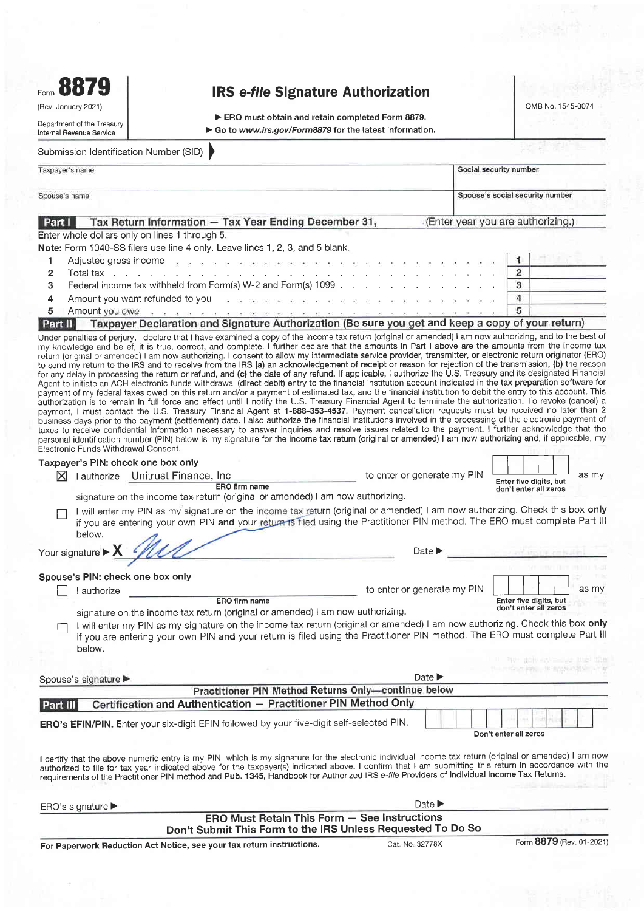Form 8879

(Rev. January 2021)

## IRS e-file Signature Authorization

OMB No. 1 545-0074

Department of the Treasury lnternal Revenue Service

▶ ERO must obtain and retain completed Form 8879. ▶ Go to www.irs.gov/Form8879 for the latest information.

## Submission ldentification Number (SlD) )

|        | Taxpayer's name                                                                                                                                                                                                                | Social security number            |
|--------|--------------------------------------------------------------------------------------------------------------------------------------------------------------------------------------------------------------------------------|-----------------------------------|
|        | Spouse's name                                                                                                                                                                                                                  | Spouse's social security number   |
| Part I | Tax Return Information - Tax Year Ending December 31,                                                                                                                                                                          | (Enter year you are authorizing.) |
|        | Enter whole dollars only on lines 1 through 5.                                                                                                                                                                                 |                                   |
|        | Note: Form 1040-SS filers use line 4 only. Leave lines 1, 2, 3, and 5 blank.                                                                                                                                                   |                                   |
|        | Adjusted gross income proposed to a propose a series to be the back of the series of the back of the back of the back of the back of the back of the back of the back of the back of the back of the back of the back of the b |                                   |
|        | Total tax response to response the contract of the contract of the contract of the contract of the contract of the contract of the contract of the contract of the contract of the contract of the contract of the contract of | 2                                 |
| 3      | Federal income tax withheld from Form(s) W-2 and Form(s) 1099                                                                                                                                                                  | 3                                 |
| 4      | Amount you want refunded to you and a particular contract to the contract of the contract of the contract of the contract of the contract of the contract of the contract of the contract of the contract of the contract of t | 4                                 |
|        | Amount you owe<br>The case of the training the conditions are conditions that the case of the case of the case of the case of the                                                                                              | 5                                 |

### Part II Taxpayer Declaration and Signature Authorization (Be sure you get and keep a copy of your return)

Under penalties of perjury, I declare that I have examined a copy of the income tax return (original or amended) I am now authorizing, and to the best of my knowledge and belief, it is true, correct, and complete. I furlher declare that the amounts in Part I above are the amounts from the income tax return (original or amended) I am now authorizing. I consent to allow my intermediate service provider, transmitter, or electronic return originator (ERO) to send my return to the IRS and to receive from the IRS (a) an acknowledgement of receipt or reason for rejection of the transmission, (b) the reason for any delay in processing the return or refund, and (c) the date of any refund. lf applicable, I authorize the U.S. Treasury and its designated Financial Agent to initiate an ACH electronic funds withdrawal (direct debit) entry to the financial institution account indicated in the tax preparation software for payment of my federal taxes owed on this return and/or a payment of estimated tax, and the financial institution to debit the entry to this account. This authorization is to remain in full force and effect until I notify the U.S. Treasury Financial Agent to terminate the authorization. To revoke (cancel) a<br>payment, I must contact the U.S. Treasury Financial Agent at **1-888**business days prior to the payment (settlement) date. I also authorize the financial institutions involved in the processing of the electronic payment of taxes to receive confidential information necessary to answer inquiries and resolve issues related to the payment. I further acknowledge that the personal identification number (PlN) below is my signature for the income tax return (original or amended) | am now authorizing and, if applicable, my Electronic Funds Withdrawal Consent. Taxpayer's PIN: check one box only

|                 |                                        | Electronic Funds Withdrawal Consent.                                                                                                                                                                                                                      |                                                     |                                                          |
|-----------------|----------------------------------------|-----------------------------------------------------------------------------------------------------------------------------------------------------------------------------------------------------------------------------------------------------------|-----------------------------------------------------|----------------------------------------------------------|
|                 |                                        | Taxpayer's PIN: check one box only                                                                                                                                                                                                                        |                                                     |                                                          |
| $\vert X \vert$ |                                        | authorize Unitrust Finance, Inc.<br>ERO firm name                                                                                                                                                                                                         | to enter or generate my PIN                         | as my<br>Enter five digits, but<br>don't enter all zeros |
|                 |                                        | signature on the income tax return (original or amended) I am now authorizing.                                                                                                                                                                            |                                                     |                                                          |
|                 | below.                                 | will enter my PIN as my signature on the income tax return (original or amended) I am now authorizing. Check this box only<br>if you are entering your own PIN and your return is filed using the Practitioner PIN method. The ERO must complete Part III |                                                     |                                                          |
|                 | Your signature $\blacktriangleright$ X |                                                                                                                                                                                                                                                           | Date $\blacktriangleright$                          | a per securit controlled                                 |
|                 |                                        | Spouse's PIN: check one box only                                                                                                                                                                                                                          |                                                     |                                                          |
|                 | authorize                              |                                                                                                                                                                                                                                                           | to enter or generate my PIN                         | as my                                                    |
|                 |                                        | ERO firm name<br>signature on the income tax return (original or amended) I am now authorizing.<br>I will enter my PIN as my signature on the income tax return (original or amended) I am now authorizing. Check this box only                           |                                                     | Enter five digits, but<br>don't enter all zeros          |
|                 | below.                                 | if you are entering your own PIN and your return is filed using the Practitioner PIN method. The ERO must complete Part III                                                                                                                               |                                                     |                                                          |
|                 |                                        |                                                                                                                                                                                                                                                           |                                                     | HORISTANIA HOLL TON                                      |
|                 | Spouse's signature                     |                                                                                                                                                                                                                                                           | Date $\blacktriangleright$                          |                                                          |
|                 |                                        |                                                                                                                                                                                                                                                           | Practitioner PIN Method Returns Only-continue below |                                                          |
| Part III        |                                        | Certification and Authentication - Practitioner PIN Method Only                                                                                                                                                                                           |                                                     |                                                          |
|                 |                                        | ERO's EFIN/PIN. Enter your six-digit EFIN followed by your five-digit self-selected PIN.                                                                                                                                                                  |                                                     | Don't enter all zeros                                    |

I certify that the above numeric entry is my PIN, which is my signature for the electronic individual income tax return (original or amended) I am now authorized to file for tax year indicated above for the taxpayer(s) indicated above. I confirm that I am submitting this return in accordance with the requirements of the Practitioner PIN method and Pub. 1345, Handbook for Authorized IRS e-file Providers of Individual Income Tax Returns

| $ERO's$ signature $\blacktriangleright$                               |                                                                                                                    | Date $\blacktriangleright$ |                          |
|-----------------------------------------------------------------------|--------------------------------------------------------------------------------------------------------------------|----------------------------|--------------------------|
|                                                                       | <b>ERO Must Retain This Form - See Instructions</b><br>Don't Submit This Form to the IRS Unless Requested To Do So |                            |                          |
| For Paperwork Reduction Act Notice, see your tax return instructions. |                                                                                                                    | Cat. No. 32778X            | Form 8879 (Rev. 01-2021) |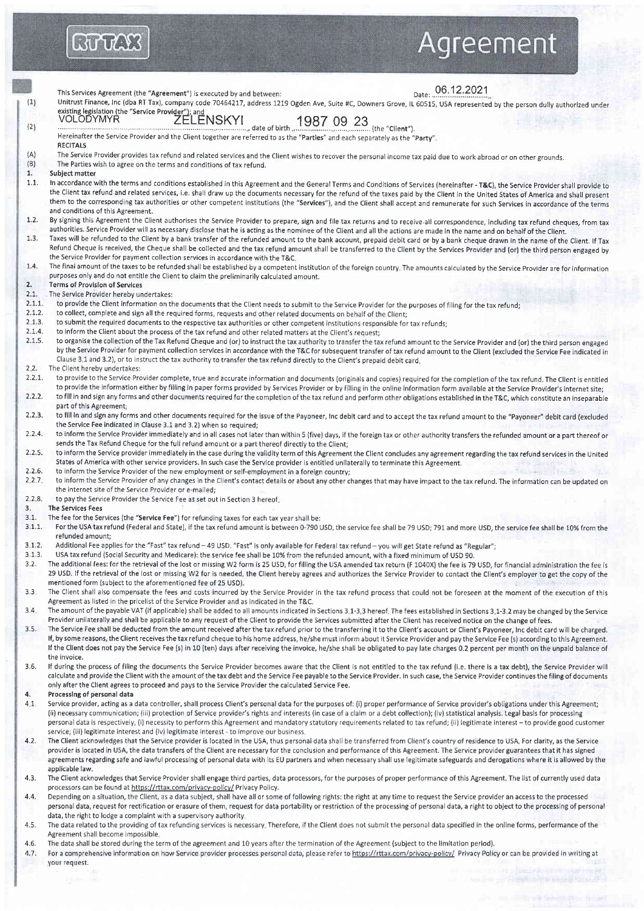# Agreement

Date: 06.12.2021 This Services Agreement (the "Agreement") is executed by and between: Unitrust Finance, Inc (dba RT Tax), company code 70464217, address 1219 Ogden Ave, Suite #C, Downers Grove, IL 60515, USA represented by the person dully authorized under  $(1)$ existing legislation (the "Service Provider"); and<br>VOLODYMYR ZELENSKYI ., date of birth  $\frac{19870923}{2}$  (the "Client").  $(2)$ Hereinafter the Service Provider and the Client together are referred to as the "Parties" and each separately as the "Party" **RECITALS** The Service Provider provides tax refund and related services and the Client wishes to recover the personal income tax paid due to work abroad or on other grounds.  $(A)$  $(B)$ The Parties wish to agree on the terms and conditions of tax refund. Subject matter  $\mathbf{1}$  $1.1.$ In accordance with the terms and conditions established in this Agreement and the General Terms and Conditions of Services (hereinafter - T&C), the Service Provider shall provide to the Client tax refund and related services, i.e. shall draw up the documents necessary for the refund of the taxes paid by the Client in the United States of America and shall present them to the corresponding tax authorities or other competent institutions (the "Services"), and the Client shall accept and remunerate for such Services in accordance of the terms and conditions of this Agreement.  $1.2.$ By signing this Agreement the Client authorises the Service Provider to prepare, sign and file tax returns and to receive all correspondence, including tax refund cheques, from tax authorities. Service Provider will as necessary disclose that he is acting as the nominee of the Client and all the actions are made in the name and on behalf of the Client. Taxes will be refunded to the Client by a bank transfer of the refunded amount to the bank account, prepaid debit card or by a bank cheque drawn in the name of the Client. If Tax  $1.3.$ Refund Cheque is received, the Cheque shall be collected and the tax refund amount shall be transferred to the Client by the Services Provider and (or) the third person engaged by the Service Provider for payment collection services in accordance with the T&C.  $1.4$ The final amount of the taxes to be refunded shall be established by a competent institution of the foreign country. The amounts calculated by the Service Provider are for information purposes only and do not entitle the Client to claim the preliminarily calculated amount.  $\overline{2}$ **Terms of Provision of Services**  $2.1.$ The Service Provider hereby undertakes:  $2.1.1$ to provide the Client information on the documents that the Client needs to submit to the Service Provider for the purposes of filing for the tax refund;  $2.1.2.$ to collect, complete and sign all the required forms, requests and other related documents on behalf of the Client;  $2.1.3.$ to submit the required documents to the respective tax authorities or other competent institutions responsible for tax refunds;  $2.1.4.$ to inform the Client about the process of the tax refund and other related matters at the Client's request;  $2.1.5.$ to organise the collection of the Tax Refund Cheque and (or) to instruct the tax authority to transfer the tax refund amount to the Service Provider and (or) the third person engaged by the Service Provider for payment collection services in accordance with the T&C for subsequent transfer of tax refund amount to the Client (excluded the Service Fee indicated in Clause 3.1 and 3.2), or to instruct the tax authority to transfer the tax refund directly to the Client's prepaid debit card.  $2.2.$ The Client hereby undertakes:  $2.2.1$ to provide to the Service Provider complete, true and accurate information and documents (originals and copies) required for the completion of the tax refund. The Client is entitled to provide the information either by filling in paper forms provided by Services Provider or by filling in the online information form available at the Service Provider's internet site:  $2.2.2.$ to fill in and sign any forms and other documents required for the completion of the tax refund and perform other obligations established in the T&C, which constitute an inseparable part of this Agreement; to fill in and sign any forms and other documents required for the issue of the Payoneer, Inc debit card and to accept the tax refund amount to the "Payoneer" debit card (excluded  $2.2.3$ the Service Fee indicated in Clause 3.1 and 3.2) when so required;  $2.2.4$ to inform the Service Provider immediately and in all cases not later than within 5 (five) days, if the foreign tax or other authority transfers the refunded amount or a part thereof or sends the Tax Refund Cheque for the full refund amount or a part thereof directly to the Client; to inform the Service provider immediately in the case during the validity term of this Agreement the Client concludes any agreement regarding the tax refund services in the United  $2.2.5.$ States of America with other service providers. In such case the Service provider is entitled unilaterally to terminate this Agreement.  $2.2.6$ to inform the Service Provider of the new employment or self-employment in a foreign country;  $2.2.7.$ to inform the Service Provider of any changes in the Client's contact details or about any other changes that may have impact to the tax refund. The information can be updated on the internet site of the Service Provider or e-mailed: to pay the Service Provider the Service Fee as set out in Section 3 hereof.  $2.2.8$ **The Services Fees**  $\mathbf{3}$ .  $3.1.$ The fee for the Services (the "Service Fee") for refunding taxes for each tax year shall be:  $3.1.1$ For the USA tax refund (Federal and State), if the tax refund amount is between 0-790 USD, the service fee shall be 79 USD; 791 and more USD, the service fee shall be 10% from the refunded amount:  $3.1.2$ Additional Fee applies for the "Fast" tax refund - 49 USD. "Fast" is only available for Federal tax refund - you will get State refund as "Regular";  $3.1.3.$ USA tax refund (Social Security and Medicare): the service fee shall be 10% from the refunded amount, with a fixed minimum of USD 90.  $3.2.$ The additional fees: for the retrieval of the lost or missing W2 form is 25 USD, for filling the USA amended tax return (F 1040X) the fee is 79 USD, for financial administration the fee is 29 USD. If the retrieval of the lost or missing W2 for is needed, the Client hereby agrees and authorizes the Service Provider to contact the Client's employer to get the copy of the mentioned form (subject to the aforementioned fee of 25 USD).  $3.3$ The Client shall also compensate the fees and costs incurred by the Service Provider in the tax refund process that could not be foreseen at the moment of the execution of this Agreement as listed in the pricelist of the Service Provider and as indicated in the T&C.  $3.4$ The amount of the payable VAT (if applicable) shall be added to all amounts indicated in Sections 3.1-3.3 hereof. The fees established in Sections 3.1-3.2 may be changed by the Service Provider unilaterally and shall be applicable to any request of the Client to provide the Services submitted after the Client has received notice on the change of fees. The Service Fee shall be deducted from the amount received after the tax refund prior to the transferring it to the Client's account or Client's Payoneer, Inc debit card will be charged.  $3.5.$ If, by some reasons, the Client receives the tax refund cheque to his home address, he/she must inform about it Service Provider and pay the Service Fee (s) according to this Agreement. If the Client does not pay the Service Fee (s) in 10 (ten) days after receiving the invoice, he/she shall be obligated to pay late charges 0.2 percent per month on the unpaid balance of the invoice.  $3.6$ If during the process of filing the documents the Service Provider becomes aware that the Client is not entitled to the tax refund (i.e. there is a tax debt), the Service Provider will calculate and provide the Client with the amount of the tax debt and the Service Fee payable to the Service Provider. In such case, the Service Provider continues the filing of documents only after the Client agrees to proceed and pays to the Service Provider the calculated Service Fee.  $\Delta$ Processing of personal data  $4.1.$ Service provider, acting as a data controller, shall process Client's personal data for the purposes of: (i) proper performance of Service provider's obligations under this Agreement; (ii) necessary communication; (iii) protection of Service provider's rights and interests (in case of a claim or a debt collection); (iv) statistical analysis. Legal basis for processing personal data is respectively, (i) necessity to perform this Agreement and mandatory statutory requirements related to tax refund; (ii) legitimate interest - to provide good customer service; (iii) legitimate interest and (iv) legitimate interest - to improve our business.  $4.2$ The Client acknowledges that the Service provider is located in the USA, thus personal data shall be transferred from Client's country of residence to USA. For clarity, as the Service provider is located in USA, the data transfers of the Client are necessary for the conclusion and performance of this Agreement. The Service provider guarantees that it has signed agreements regarding safe and lawful processing of personal data with its EU partners and when necessary shall use legitimate safeguards and derogations where it is allowed by the applicable law.  $4.3.$ The Client acknowledges that Service Provider shall engage third parties, data processors, for the purposes of proper performance of this Agreement. The list of currently used data processors can be found at https://rttax.com/privacy-policy/ Privacy Policy. Depending on a situation, the Client, as a data subject, shall have all or some of following rights: the right at any time to request the Service provider an access to the processed  $4.4.$ personal data, request for rectification or erasure of them, request for data portability or restriction of the processing of personal data, a right to object to the processing of personal data, the right to lodge a complaint with a supervisory authority.  $4.5$ The data related to the providing of tax refunding services is necessary. Therefore, if the Client does not submit the personal data specified in the online forms, performance of the

**RUTCKS** 

Agreement shall become impossible 4.6 The data shall be stored during the term of the agreement and 10 years after the termination of the Agreement (subject to the limitation period).

 $4.7.$ For a comprehensive information on how Service provider processes personal data, please refer to https://rttax.com/privacy-policy/ Privacy Policy or can be provided in writing at your request.